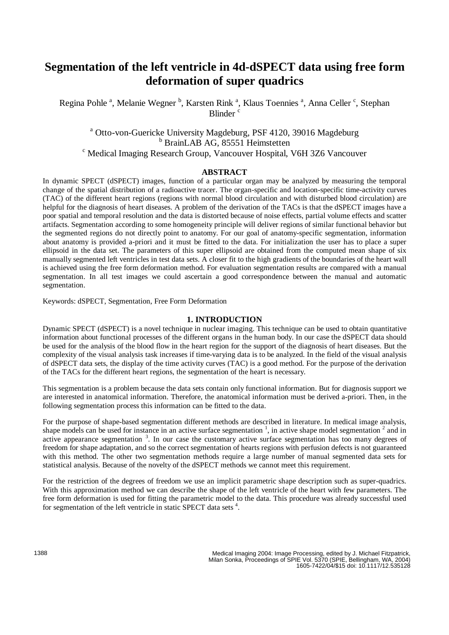# **Segmentation of the left ventricle in 4d-dSPECT data using free form deformation of super quadrics**

Regina Pohle<sup>a</sup>, Melanie Wegner<sup>b</sup>, Karsten Rink<sup>a</sup>, Klaus Toennies<sup>a</sup>, Anna Celler<sup>c</sup>, Stephan Blinder<sup>c</sup>

<sup>a</sup> Otto-von-Guericke University Magdeburg, PSF 4120, 39016 Magdeburg b Project A B AG 85551 Hojmatetten <sup>b</sup> BrainLAB AG, 85551 Heimstetten c Medical Imaging Research Group, Vancouver Hospital, V6H 3Z6 Vancouver

# **ABSTRACT**

In dynamic SPECT (dSPECT) images, function of a particular organ may be analyzed by measuring the temporal change of the spatial distribution of a radioactive tracer. The organ-specific and location-specific time-activity curves (TAC) of the different heart regions (regions with normal blood circulation and with disturbed blood circulation) are helpful for the diagnosis of heart diseases. A problem of the derivation of the TACs is that the dSPECT images have a poor spatial and temporal resolution and the data is distorted because of noise effects, partial volume effects and scatter artifacts. Segmentation according to some homogeneity principle will deliver regions of similar functional behavior but the segmented regions do not directly point to anatomy. For our goal of anatomy-specific segmentation, information about anatomy is provided a-priori and it must be fitted to the data. For initialization the user has to place a super ellipsoid in the data set. The parameters of this super ellipsoid are obtained from the computed mean shape of six manually segmented left ventricles in test data sets. A closer fit to the high gradients of the boundaries of the heart wall is achieved using the free form deformation method. For evaluation segmentation results are compared with a manual segmentation. In all test images we could ascertain a good correspondence between the manual and automatic segmentation.

Keywords: dSPECT, Segmentation, Free Form Deformation

### **1. INTRODUCTION**

Dynamic SPECT (dSPECT) is a novel technique in nuclear imaging. This technique can be used to obtain quantitative information about functional processes of the different organs in the human body. In our case the dSPECT data should be used for the analysis of the blood flow in the heart region for the support of the diagnosis of heart diseases. But the complexity of the visual analysis task increases if time-varying data is to be analyzed. In the field of the visual analysis of dSPECT data sets, the display of the time activity curves (TAC) is a good method. For the purpose of the derivation of the TACs for the different heart regions, the segmentation of the heart is necessary.

This segmentation is a problem because the data sets contain only functional information. But for diagnosis support we are interested in anatomical information. Therefore, the anatomical information must be derived a-priori. Then, in the following segmentation process this information can be fitted to the data.

For the purpose of shape-based segmentation different methods are described in literature. In medical image analysis, shape models can be used for instance in an active surface segmentation  $\frac{1}{1}$ , in active shape model segmentation  $\frac{2}{1}$  and in active appearance segmentation <sup>3</sup>. In our case the customary active surface segmentation has too many degrees of freedom for shape adaptation, and so the correct segmentation of hearts regions with perfusion defects is not guaranteed with this method. The other two segmentation methods require a large number of manual segmented data sets for statistical analysis. Because of the novelty of the dSPECT methods we cannot meet this requirement.

For the restriction of the degrees of freedom we use an implicit parametric shape description such as super-quadrics. With this approximation method we can describe the shape of the left ventricle of the heart with few parameters. The free form deformation is used for fitting the parametric model to the data. This procedure was already successful used for segmentation of the left ventricle in static SPECT data sets <sup>4</sup>.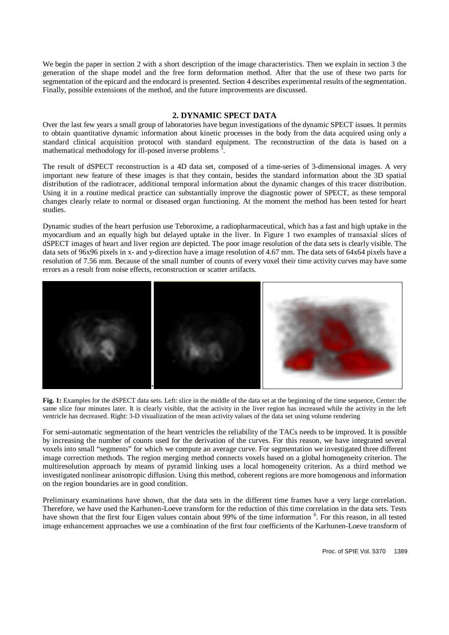We begin the paper in section 2 with a short description of the image characteristics. Then we explain in section 3 the generation of the shape model and the free form deformation method. After that the use of these two parts for segmentation of the epicard and the endocard is presented. Section 4 describes experimental results of the segmentation. Finally, possible extensions of the method, and the future improvements are discussed.

## **2. DYNAMIC SPECT DATA**

Over the last few years a small group of laboratories have begun investigations of the dynamic SPECT issues. It permits to obtain quantitative dynamic information about kinetic processes in the body from the data acquired using only a standard clinical acquisition protocol with standard equipment. The reconstruction of the data is based on a mathematical methodology for ill-posed inverse problems<sup>5</sup>.

The result of dSPECT reconstruction is a 4D data set, composed of a time-series of 3-dimensional images. A very important new feature of these images is that they contain, besides the standard information about the 3D spatial distribution of the radiotracer, additional temporal information about the dynamic changes of this tracer distribution. Using it in a routine medical practice can substantially improve the diagnostic power of SPECT, as these temporal changes clearly relate to normal or diseased organ functioning. At the moment the method has been tested for heart studies.

Dynamic studies of the heart perfusion use Teboroxime, a radiopharmaceutical, which has a fast and high uptake in the myocardium and an equally high but delayed uptake in the liver. In Figure 1 two examples of transaxial slices of dSPECT images of heart and liver region are depicted. The poor image resolution of the data sets is clearly visible. The data sets of 96x96 pixels in x- and y-direction have a image resolution of 4.67 mm. The data sets of 64x64 pixels have a resolution of 7.56 mm. Because of the small number of counts of every voxel their time activity curves may have some errors as a result from noise effects, reconstruction or scatter artifacts.



**Fig. 1:** Examples for the dSPECT data sets. Left: slice in the middle of the data set at the beginning of the time sequence, Center: the same slice four minutes later. It is clearly visible, that the activity in the liver region has increased while the activity in the left ventricle has decreased. Right: 3-D visualization of the mean activity values of the data set using volume rendering

For semi-automatic segmentation of the heart ventricles the reliability of the TACs needs to be improved. It is possible by increasing the number of counts used for the derivation of the curves. For this reason, we have integrated several voxels into small "segments" for which we compute an average curve. For segmentation we investigated three different image correction methods. The region merging method connects voxels based on a global homogeneity criterion. The multiresolution approach by means of pyramid linking uses a local homogeneity criterion. As a third method we investigated nonlinear anisotropic diffusion. Using this method, coherent regions are more homogenous and information on the region boundaries are in good condition.

Preliminary examinations have shown, that the data sets in the different time frames have a very large correlation. Therefore, we have used the Karhunen-Loeve transform for the reduction of this time correlation in the data sets. Tests have shown that the first four Eigen values contain about 99% of the time information <sup>6</sup>. For this reason, in all tested image enhancement approaches we use a combination of the first four coefficients of the Karhunen-Loeve transform of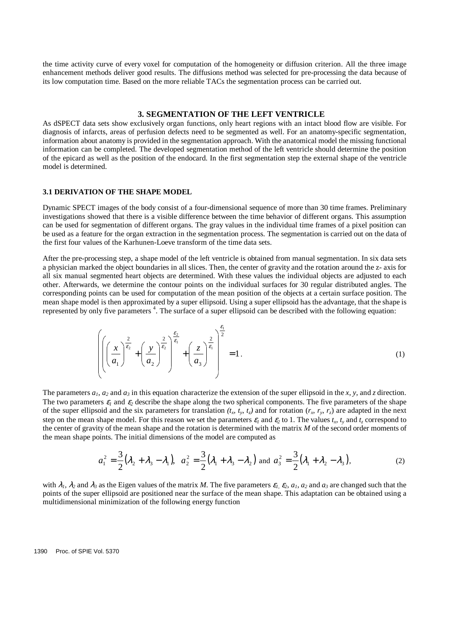the time activity curve of every voxel for computation of the homogeneity or diffusion criterion. All the three image enhancement methods deliver good results. The diffusions method was selected for pre-processing the data because of its low computation time. Based on the more reliable TACs the segmentation process can be carried out.

## **3. SEGMENTATION OF THE LEFT VENTRICLE**

As dSPECT data sets show exclusively organ functions, only heart regions with an intact blood flow are visible. For diagnosis of infarcts, areas of perfusion defects need to be segmented as well. For an anatomy-specific segmentation, information about anatomy is provided in the segmentation approach. With the anatomical model the missing functional information can be completed. The developed segmentation method of the left ventricle should determine the position of the epicard as well as the position of the endocard. In the first segmentation step the external shape of the ventricle model is determined.

#### **3.1 DERIVATION OF THE SHAPE MODEL**

Dynamic SPECT images of the body consist of a four-dimensional sequence of more than 30 time frames. Preliminary investigations showed that there is a visible difference between the time behavior of different organs. This assumption can be used for segmentation of different organs. The gray values in the individual time frames of a pixel position can be used as a feature for the organ extraction in the segmentation process. The segmentation is carried out on the data of the first four values of the Karhunen-Loeve transform of the time data sets.

After the pre-processing step, a shape model of the left ventricle is obtained from manual segmentation. In six data sets a physician marked the object boundaries in all slices. Then, the center of gravity and the rotation around the z- axis for all six manual segmented heart objects are determined. With these values the individual objects are adjusted to each other. Afterwards, we determine the contour points on the individual surfaces for 30 regular distributed angles. The corresponding points can be used for computation of the mean position of the objects at a certain surface position. The mean shape model is then approximated by a super ellipsoid. Using a super ellipsoid has the advantage, that the shape is represented by only five parameters<sup>4</sup>. The surface of a super ellipsoid can be described with the following equation:

$$
\left( \left[ \left( \frac{x}{a_1} \right)^{\frac{2}{\epsilon_2}} + \left( \frac{y}{a_2} \right)^{\frac{2}{\epsilon_2}} \right]^{\frac{\epsilon_2}{\epsilon_1}} + \left( \frac{z}{a_3} \right)^{\frac{2}{\epsilon_1}} \right)^{\frac{\epsilon_1}{2}} = 1.
$$
\n(1)

The parameters *a1*, *a2* and *a3* in this equation characterize the extension of the super ellipsoid in the *x*, *y*, and *z* direction. The two parameters  $\varepsilon_1$  and  $\varepsilon_2$  describe the shape along the two spherical components. The five parameters of the shape of the super ellipsoid and the six parameters for translation  $(t_x, t_y, t_z)$  and for rotation  $(r_x, r_y, r_z)$  are adapted in the next step on the mean shape model. For this reason we set the parameters  $\varepsilon_1$  and  $\varepsilon_2$  to 1. The values  $t_x$ ,  $t_y$  and  $t_z$  correspond to the center of gravity of the mean shape and the rotation is determined with the matrix *M* of the second order moments of the mean shape points. The initial dimensions of the model are computed as

$$
a_1^2 = \frac{3}{2}(\lambda_2 + \lambda_3 - \lambda_1), \ \ a_2^2 = \frac{3}{2}(\lambda_1 + \lambda_3 - \lambda_2) \ \text{and} \ a_3^2 = \frac{3}{2}(\lambda_1 + \lambda_2 - \lambda_3), \tag{2}
$$

with  $\lambda_1$ ,  $\lambda_2$  and  $\lambda_3$  as the Eigen values of the matrix *M*. The five parameters  $\varepsilon_1$ ,  $\varepsilon_2$ ,  $a_1$ ,  $a_2$  and  $a_3$  are changed such that the points of the super ellipsoid are positioned near the surface of the mean shape. This adaptation can be obtained using a multidimensional minimization of the following energy function

1390 Proc. of SPIE Vol. 5370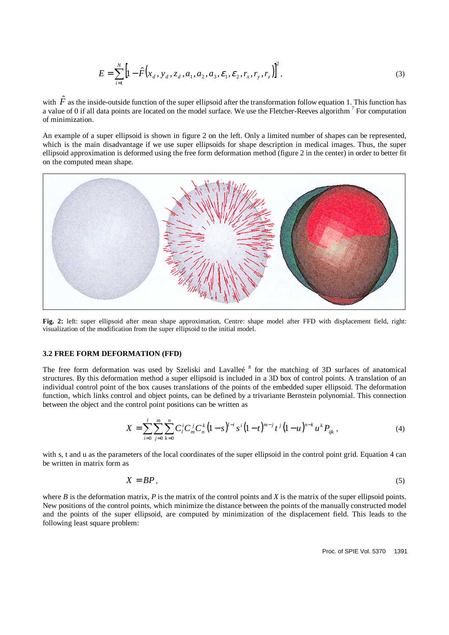$$
E = \sum_{i=1}^{N} \left[ 1 - \hat{F}(x_d, y_d, z_d, a_1, a_2, a_3, \varepsilon_1, \varepsilon_2, r_x, r_y, r_z) \right]^2, \tag{3}
$$

with  $\hat{F}$  as the inside-outside function of the super ellipsoid after the transformation follow equation 1. This function has a value of 0 if all data points are located on the model surface. We use the Fletcher-Reeves algorithm  $^7$  For computation of minimization.

An example of a super ellipsoid is shown in figure 2 on the left. Only a limited number of shapes can be represented, which is the main disadvantage if we use super ellipsoids for shape description in medical images. Thus, the super ellipsoid approximation is deformed using the free form deformation method (figure 2 in the center) in order to better fit on the computed mean shape.



**Fig. 2:** left: super ellipsoid after mean shape approximation, Centre: shape model after FFD with displacement field, right: visualization of the modification from the super ellipsoid to the initial model.

#### **3.2 FREE FORM DEFORMATION (FFD)**

The free form deformation was used by Szeliski and Lavalleé<sup>8</sup> for the matching of 3D surfaces of anatomical structures. By this deformation method a super ellipsoid is included in a 3D box of control points. A translation of an individual control point of the box causes translations of the points of the embedded super ellipsoid. The deformation function, which links control and object points, can be defined by a trivariante Bernstein polynomial. This connection between the object and the control point positions can be written as

$$
X = \sum_{i=0}^{l} \sum_{j=0}^{m} \sum_{k=0}^{n} C_{i}^{i} C_{m}^{j} C_{n}^{k} (1-s)^{l-i} s^{i} (1-t)^{m-j} t^{j} (1-u)^{n-k} u^{k} P_{ijk} , \qquad (4)
$$

with s, t and u as the parameters of the local coordinates of the super ellipsoid in the control point grid. Equation 4 can be written in matrix form as

$$
X = BP, \tag{5}
$$

where  $B$  is the deformation matrix,  $P$  is the matrix of the control points and  $X$  is the matrix of the super ellipsoid points. New positions of the control points, which minimize the distance between the points of the manually constructed model and the points of the super ellipsoid, are computed by minimization of the displacement field. This leads to the following least square problem: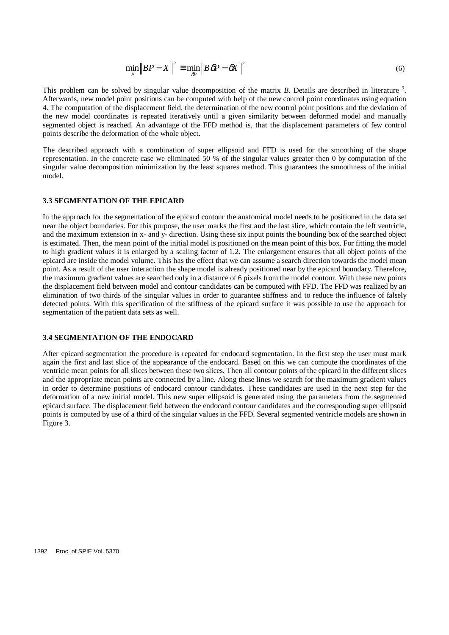$$
\min_{P} \|BP - X\|^2 = \min_{\delta P} \|B\,\delta P - \delta X\|^2 \tag{6}
$$

This problem can be solved by singular value decomposition of the matrix *B*. Details are described in literature <sup>9</sup>. Afterwards, new model point positions can be computed with help of the new control point coordinates using equation 4. The computation of the displacement field, the determination of the new control point positions and the deviation of the new model coordinates is repeated iteratively until a given similarity between deformed model and manually segmented object is reached. An advantage of the FFD method is, that the displacement parameters of few control points describe the deformation of the whole object.

The described approach with a combination of super ellipsoid and FFD is used for the smoothing of the shape representation. In the concrete case we eliminated 50 % of the singular values greater then 0 by computation of the singular value decomposition minimization by the least squares method. This guarantees the smoothness of the initial model.

#### **3.3 SEGMENTATION OF THE EPICARD**

In the approach for the segmentation of the epicard contour the anatomical model needs to be positioned in the data set near the object boundaries. For this purpose, the user marks the first and the last slice, which contain the left ventricle, and the maximum extension in x- and y- direction. Using these six input points the bounding box of the searched object is estimated. Then, the mean point of the initial model is positioned on the mean point of this box. For fitting the model to high gradient values it is enlarged by a scaling factor of 1.2. The enlargement ensures that all object points of the epicard are inside the model volume. This has the effect that we can assume a search direction towards the model mean point. As a result of the user interaction the shape model is already positioned near by the epicard boundary. Therefore, the maximum gradient values are searched only in a distance of 6 pixels from the model contour. With these new points the displacement field between model and contour candidates can be computed with FFD. The FFD was realized by an elimination of two thirds of the singular values in order to guarantee stiffness and to reduce the influence of falsely detected points. With this specification of the stiffness of the epicard surface it was possible to use the approach for segmentation of the patient data sets as well.

# **3.4 SEGMENTATION OF THE ENDOCARD**

After epicard segmentation the procedure is repeated for endocard segmentation. In the first step the user must mark again the first and last slice of the appearance of the endocard. Based on this we can compute the coordinates of the ventricle mean points for all slices between these two slices. Then all contour points of the epicard in the different slices and the appropriate mean points are connected by a line. Along these lines we search for the maximum gradient values in order to determine positions of endocard contour candidates. These candidates are used in the next step for the deformation of a new initial model. This new super ellipsoid is generated using the parameters from the segmented epicard surface. The displacement field between the endocard contour candidates and the corresponding super ellipsoid points is computed by use of a third of the singular values in the FFD. Several segmented ventricle models are shown in Figure 3.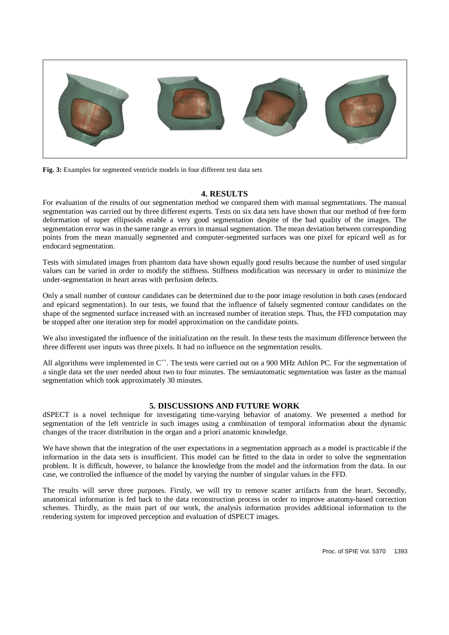

**Fig. 3:** Examples for segmented ventricle models in four different test data sets

# **4. RESULTS**

For evaluation of the results of our segmentation method we compared them with manual segmentations. The manual segmentation was carried out by three different experts. Tests on six data sets have shown that our method of free form deformation of super ellipsoids enable a very good segmentation despite of the bad quality of the images. The segmentation error was in the same range as errors in manual segmentation. The mean deviation between corresponding points from the mean manually segmented and computer-segmented surfaces was one pixel for epicard well as for endocard segmentation.

Tests with simulated images from phantom data have shown equally good results because the number of used singular values can be varied in order to modify the stiffness. Stiffness modification was necessary in order to minimize the under-segmentation in heart areas with perfusion defects.

Only a small number of contour candidates can be determined due to the poor image resolution in both cases (endocard and epicard segmentation). In our tests, we found that the influence of falsely segmented contour candidates on the shape of the segmented surface increased with an increased number of iteration steps. Thus, the FFD computation may be stopped after one iteration step for model approximation on the candidate points.

We also investigated the influence of the initialization on the result. In these tests the maximum difference between the three different user inputs was three pixels. It had no influence on the segmentation results.

All algorithms were implemented in  $C^{++}$ . The tests were carried out on a 900 MHz Athlon PC. For the segmentation of a single data set the user needed about two to four minutes. The semiautomatic segmentation was faster as the manual segmentation which took approximately 30 minutes.

# **5. DISCUSSIONS AND FUTURE WORK**

dSPECT is a novel technique for investigating time-varying behavior of anatomy. We presented a method for segmentation of the left ventricle in such images using a combination of temporal information about the dynamic changes of the tracer distribution in the organ and a priori anatomic knowledge.

We have shown that the integration of the user expectations in a segmentation approach as a model is practicable if the information in the data sets is insufficient. This model can be fitted to the data in order to solve the segmentation problem. It is difficult, however, to balance the knowledge from the model and the information from the data. In our case, we controlled the influence of the model by varying the number of singular values in the FFD.

The results will serve three purposes. Firstly, we will try to remove scatter artifacts from the heart. Secondly, anatomical information is fed back to the data reconstruction process in order to improve anatomy-based correction schemes. Thirdly, as the main part of our work, the analysis information provides additional information to the rendering system for improved perception and evaluation of dSPECT images.